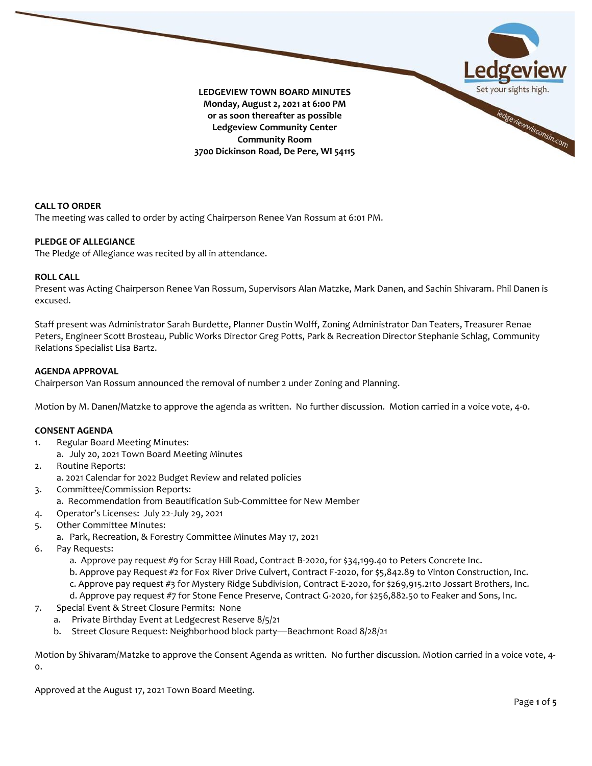

**CALL TO ORDER**

The meeting was called to order by acting Chairperson Renee Van Rossum at 6:01 PM.

# **PLEDGE OF ALLEGIANCE**

The Pledge of Allegiance was recited by all in attendance.

# **ROLL CALL**

Present was Acting Chairperson Renee Van Rossum, Supervisors Alan Matzke, Mark Danen, and Sachin Shivaram. Phil Danen is excused.

Staff present was Administrator Sarah Burdette, Planner Dustin Wolff, Zoning Administrator Dan Teaters, Treasurer Renae Peters, Engineer Scott Brosteau, Public Works Director Greg Potts, Park & Recreation Director Stephanie Schlag, Community Relations Specialist Lisa Bartz.

# **AGENDA APPROVAL**

Chairperson Van Rossum announced the removal of number 2 under Zoning and Planning.

Motion by M. Danen/Matzke to approve the agenda as written. No further discussion. Motion carried in a voice vote, 4-0.

### **CONSENT AGENDA**

- 1. Regular Board Meeting Minutes:
	- a. July 20, 2021 Town Board Meeting Minutes
- 2. Routine Reports:
	- a. 2021 Calendar for 2022 Budget Review and related policies
- 3. Committee/Commission Reports:
	- a. Recommendation from Beautification Sub-Committee for New Member
- 4. Operator's Licenses: July 22-July 29, 2021
- 5. Other Committee Minutes:
	- a. Park, Recreation, & Forestry Committee Minutes May 17, 2021
- 6. Pay Requests:
	- a. Approve pay request #9 for Scray Hill Road, Contract B-2020, for \$34,199.40 to Peters Concrete Inc.
	- b. Approve pay Request #2 for Fox River Drive Culvert, Contract F-2020, for \$5,842.89 to Vinton Construction, Inc.
	- c. Approve pay request #3 for Mystery Ridge Subdivision, Contract E-2020, for \$269,915.21to Jossart Brothers, Inc.
	- d. Approve pay request #7 for Stone Fence Preserve, Contract G-2020, for \$256,882.50 to Feaker and Sons, Inc.
- 7. Special Event & Street Closure Permits: None
	- a. Private Birthday Event at Ledgecrest Reserve 8/5/21
	- b. Street Closure Request: Neighborhood block party—Beachmont Road 8/28/21

Motion by Shivaram/Matzke to approve the Consent Agenda as written. No further discussion. Motion carried in a voice vote, 4- 0.

Approved at the August 17, 2021 Town Board Meeting.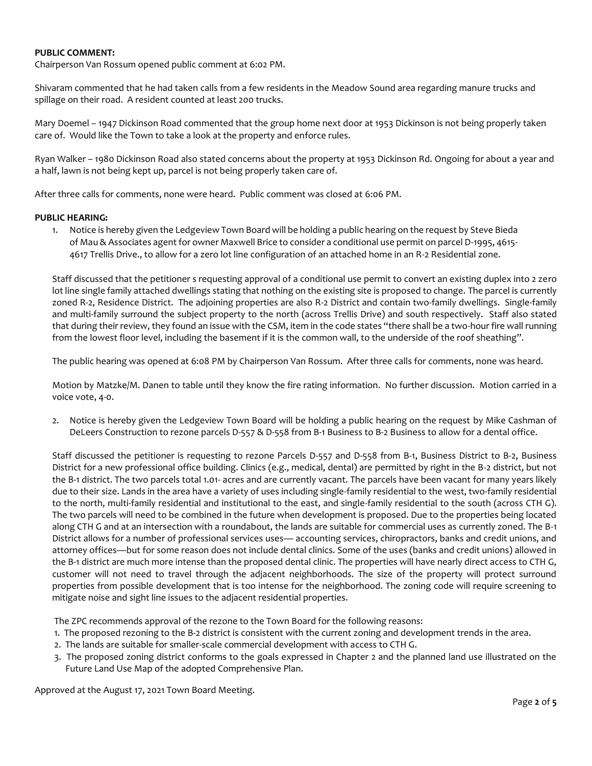# **PUBLIC COMMENT:**

Chairperson Van Rossum opened public comment at 6:02 PM.

Shivaram commented that he had taken calls from a few residents in the Meadow Sound area regarding manure trucks and spillage on their road. A resident counted at least 200 trucks.

Mary Doemel – 1947 Dickinson Road commented that the group home next door at 1953 Dickinson is not being properly taken care of. Would like the Town to take a look at the property and enforce rules.

Ryan Walker – 1980 Dickinson Road also stated concerns about the property at 1953 Dickinson Rd. Ongoing for about a year and a half, lawn is not being kept up, parcel is not being properly taken care of.

After three calls for comments, none were heard. Public comment was closed at 6:06 PM.

# **PUBLIC HEARING:**

1. Notice is hereby given the Ledgeview Town Board will be holding a public hearing on the request by Steve Bieda of Mau & Associates agent for owner Maxwell Brice to consider a conditional use permit on parcel D-1995, 4615- 4617 Trellis Drive., to allow for a zero lot line configuration of an attached home in an R-2 Residential zone.

Staff discussed that the petitioner s requesting approval of a conditional use permit to convert an existing duplex into 2 zero lot line single family attached dwellings stating that nothing on the existing site is proposed to change. The parcel is currently zoned R-2, Residence District. The adjoining properties are also R-2 District and contain two-family dwellings. Single-family and multi-family surround the subject property to the north (across Trellis Drive) and south respectively. Staff also stated that during their review, they found an issue with the CSM, item in the code states "there shall be a two-hour fire wall running from the lowest floor level, including the basement if it is the common wall, to the underside of the roof sheathing".

The public hearing was opened at 6:08 PM by Chairperson Van Rossum. After three calls for comments, none was heard.

Motion by Matzke/M. Danen to table until they know the fire rating information. No further discussion. Motion carried in a voice vote, 4-0.

2. Notice is hereby given the Ledgeview Town Board will be holding a public hearing on the request by Mike Cashman of DeLeers Construction to rezone parcels D-557 & D-558 from B-1 Business to B-2 Business to allow for a dental office.

Staff discussed the petitioner is requesting to rezone Parcels D-557 and D-558 from B-1, Business District to B-2, Business District for a new professional office building. Clinics (e.g., medical, dental) are permitted by right in the B-2 district, but not the B-1 district. The two parcels total 1.01- acres and are currently vacant. The parcels have been vacant for many years likely due to their size. Lands in the area have a variety of uses including single-family residential to the west, two-family residential to the north, multi-family residential and institutional to the east, and single-family residential to the south (across CTH G). The two parcels will need to be combined in the future when development is proposed. Due to the properties being located along CTH G and at an intersection with a roundabout, the lands are suitable for commercial uses as currently zoned. The B-1 District allows for a number of professional services uses— accounting services, chiropractors, banks and credit unions, and attorney offices—but for some reason does not include dental clinics. Some of the uses (banks and credit unions) allowed in the B-1 district are much more intense than the proposed dental clinic. The properties will have nearly direct access to CTH G, customer will not need to travel through the adjacent neighborhoods. The size of the property will protect surround properties from possible development that is too intense for the neighborhood. The zoning code will require screening to mitigate noise and sight line issues to the adjacent residential properties.

The ZPC recommends approval of the rezone to the Town Board for the following reasons:

- 1. The proposed rezoning to the B-2 district is consistent with the current zoning and development trends in the area.
- 2. The lands are suitable for smaller-scale commercial development with access to CTH G.
- 3. The proposed zoning district conforms to the goals expressed in Chapter 2 and the planned land use illustrated on the Future Land Use Map of the adopted Comprehensive Plan.

Approved at the August 17, 2021 Town Board Meeting.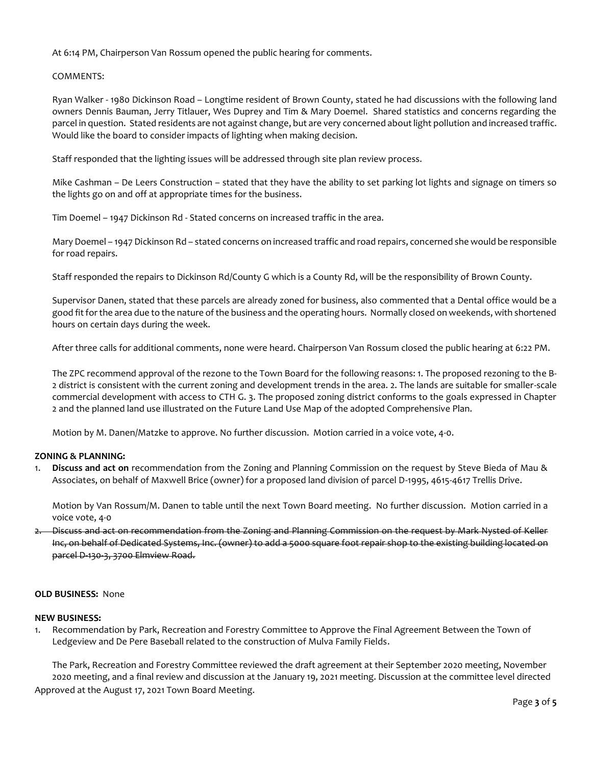At 6:14 PM, Chairperson Van Rossum opened the public hearing for comments.

# COMMENTS:

Ryan Walker - 1980 Dickinson Road – Longtime resident of Brown County, stated he had discussions with the following land owners Dennis Bauman, Jerry Titlauer, Wes Duprey and Tim & Mary Doemel. Shared statistics and concerns regarding the parcel in question. Stated residents are not against change, but are very concerned about light pollution and increased traffic. Would like the board to consider impacts of lighting when making decision.

Staff responded that the lighting issues will be addressed through site plan review process.

Mike Cashman – De Leers Construction – stated that they have the ability to set parking lot lights and signage on timers so the lights go on and off at appropriate times for the business.

Tim Doemel – 1947 Dickinson Rd - Stated concerns on increased traffic in the area.

Mary Doemel – 1947 Dickinson Rd – stated concerns on increased traffic and road repairs, concerned she would be responsible for road repairs.

Staff responded the repairs to Dickinson Rd/County G which is a County Rd, will be the responsibility of Brown County.

Supervisor Danen, stated that these parcels are already zoned for business, also commented that a Dental office would be a good fit for the area due to the nature of the business and the operating hours. Normally closed on weekends, with shortened hours on certain days during the week.

After three calls for additional comments, none were heard. Chairperson Van Rossum closed the public hearing at 6:22 PM.

The ZPC recommend approval of the rezone to the Town Board for the following reasons: 1. The proposed rezoning to the B-2 district is consistent with the current zoning and development trends in the area. 2. The lands are suitable for smaller-scale commercial development with access to CTH G. 3. The proposed zoning district conforms to the goals expressed in Chapter 2 and the planned land use illustrated on the Future Land Use Map of the adopted Comprehensive Plan.

Motion by M. Danen/Matzke to approve. No further discussion. Motion carried in a voice vote, 4-0.

# **ZONING & PLANNING:**

1. **Discuss and act on** recommendation from the Zoning and Planning Commission on the request by Steve Bieda of Mau & Associates, on behalf of Maxwell Brice (owner) for a proposed land division of parcel D-1995, 4615-4617 Trellis Drive.

Motion by Van Rossum/M. Danen to table until the next Town Board meeting. No further discussion. Motion carried in a voice vote, 4-0

2. Discuss and act on recommendation from the Zoning and Planning Commission on the request by Mark Nysted of Keller Inc, on behalf of Dedicated Systems, Inc. (owner) to add a 5000 square foot repair shop to the existing building located on parcel D-130-3, 3700 Elmview Road.

## **OLD BUSINESS:** None

### **NEW BUSINESS:**

1. Recommendation by Park, Recreation and Forestry Committee to Approve the Final Agreement Between the Town of Ledgeview and De Pere Baseball related to the construction of Mulva Family Fields.

Approved at the August 17, 2021 Town Board Meeting. The Park, Recreation and Forestry Committee reviewed the draft agreement at their September 2020 meeting, November 2020 meeting, and a final review and discussion at the January 19, 2021 meeting. Discussion at the committee level directed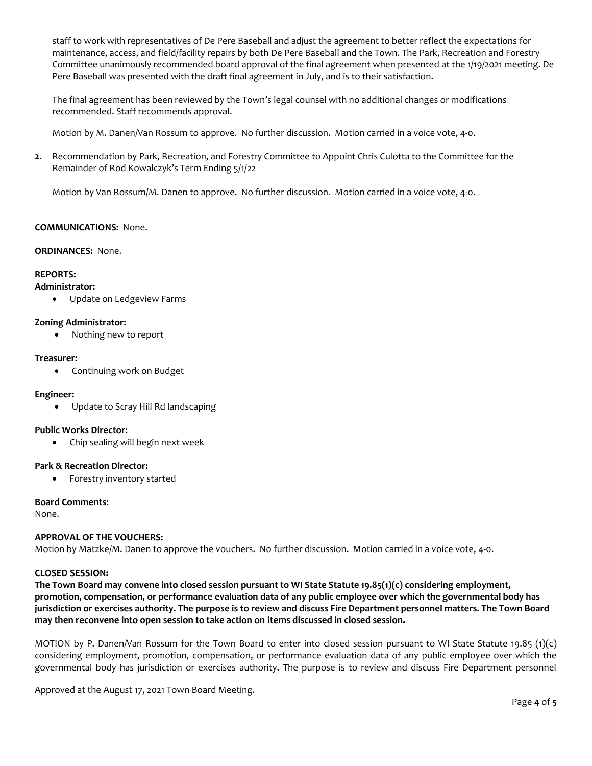staff to work with representatives of De Pere Baseball and adjust the agreement to better reflect the expectations for maintenance, access, and field/facility repairs by both De Pere Baseball and the Town. The Park, Recreation and Forestry Committee unanimously recommended board approval of the final agreement when presented at the 1/19/2021 meeting. De Pere Baseball was presented with the draft final agreement in July, and is to their satisfaction.

The final agreement has been reviewed by the Town's legal counsel with no additional changes or modifications recommended. Staff recommends approval.

Motion by M. Danen/Van Rossum to approve. No further discussion. Motion carried in a voice vote, 4-0.

**2.** Recommendation by Park, Recreation, and Forestry Committee to Appoint Chris Culotta to the Committee for the Remainder of Rod Kowalczyk's Term Ending 5/1/22

Motion by Van Rossum/M. Danen to approve. No further discussion. Motion carried in a voice vote, 4-0.

# **COMMUNICATIONS:** None.

## **ORDINANCES:** None.

# **REPORTS:**

#### **Administrator:**

Update on Ledgeview Farms

## **Zoning Administrator:**

• Nothing new to report

### **Treasurer:**

• Continuing work on Budget

### **Engineer:**

Update to Scray Hill Rd landscaping

## **Public Works Director:**

Chip sealing will begin next week

### **Park & Recreation Director:**

• Forestry inventory started

## **Board Comments:**

None.

# **APPROVAL OF THE VOUCHERS:**

Motion by Matzke/M. Danen to approve the vouchers. No further discussion. Motion carried in a voice vote, 4-0.

### **CLOSED SESSION:**

**The Town Board may convene into closed session pursuant to WI State Statute 19.85(1)(c) considering employment, promotion, compensation, or performance evaluation data of any public employee over which the governmental body has jurisdiction or exercises authority. The purpose is to review and discuss Fire Department personnel matters. The Town Board may then reconvene into open session to take action on items discussed in closed session.**

MOTION by P. Danen/Van Rossum for the Town Board to enter into closed session pursuant to WI State Statute 19.85 (1)(c) considering employment, promotion, compensation, or performance evaluation data of any public employee over which the governmental body has jurisdiction or exercises authority. The purpose is to review and discuss Fire Department personnel

Approved at the August 17, 2021 Town Board Meeting.